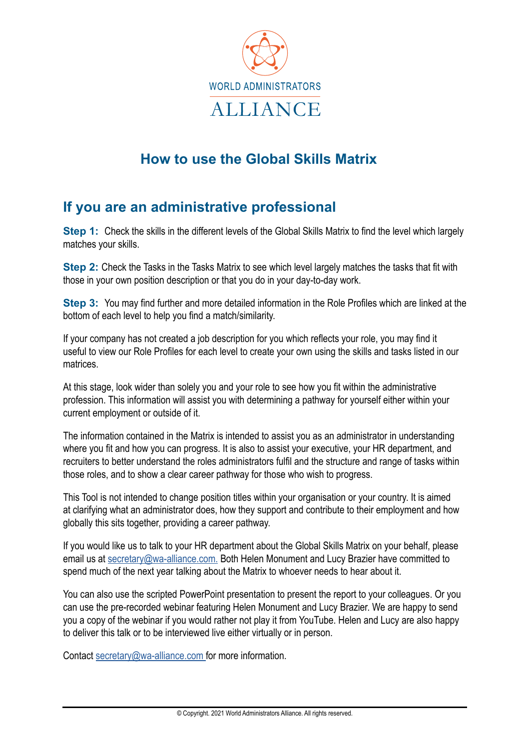

# **How to use the Global Skills Matrix**

### **If you are an administrative professional**

**Step 1:** Check the skills in the different levels of the Global Skills Matrix to find the level which largely matches your skills.

**Step 2:** Check the Tasks in the Tasks Matrix to see which level largely matches the tasks that fit with those in your own position description or that you do in your day-to-day work.

**Step 3:** You may find further and more detailed information in the Role Profiles which are linked at the bottom of each level to help you find a match/similarity.

If your company has not created a job description for you which reflects your role, you may find it useful to view our Role Profiles for each level to create your own using the skills and tasks listed in our matrices.

At this stage, look wider than solely you and your role to see how you fit within the administrative profession. This information will assist you with determining a pathway for yourself either within your current employment or outside of it.

The information contained in the Matrix is intended to assist you as an administrator in understanding where you fit and how you can progress. It is also to assist your executive, your HR department, and recruiters to better understand the roles administrators fulfil and the structure and range of tasks within those roles, and to show a clear career pathway for those who wish to progress.

This Tool is not intended to change position titles within your organisation or your country. It is aimed at clarifying what an administrator does, how they support and contribute to their employment and how globally this sits together, providing a career pathway.

If you would like us to talk to your HR department about the Global Skills Matrix on your behalf, please email us at [secretary@wa-alliance.com.](mailto:secretary@wa-alliance.com) Both Helen Monument and Lucy Brazier have committed to spend much of the next year talking about the Matrix to whoever needs to hear about it.

You can also use the scripted PowerPoint presentation to present the report to your colleagues. Or you can use the pre-recorded webinar featuring Helen Monument and Lucy Brazier. We are happy to send you a copy of the webinar if you would rather not play it from YouTube. Helen and Lucy are also happy to deliver this talk or to be interviewed live either virtually or in person.

Contact [secretary@wa-alliance.com](mailto:secretary@wa-alliance.com) for more information.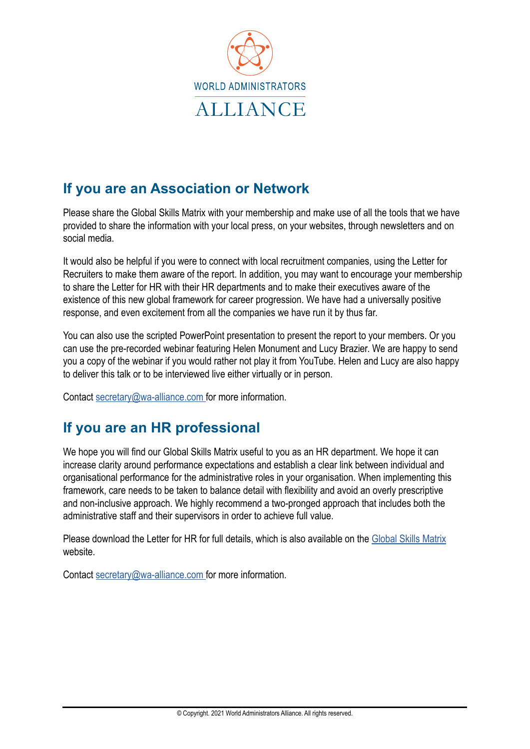

# **If you are an Association or Network**

Please share the Global Skills Matrix with your membership and make use of all the tools that we have provided to share the information with your local press, on your websites, through newsletters and on social media.

It would also be helpful if you were to connect with local recruitment companies, using the Letter for Recruiters to make them aware of the report. In addition, you may want to encourage your membership to share the Letter for HR with their HR departments and to make their executives aware of the existence of this new global framework for career progression. We have had a universally positive response, and even excitement from all the companies we have run it by thus far.

You can also use the scripted PowerPoint presentation to present the report to your members. Or you can use the pre-recorded webinar featuring Helen Monument and Lucy Brazier. We are happy to send you a copy of the webinar if you would rather not play it from YouTube. Helen and Lucy are also happy to deliver this talk or to be interviewed live either virtually or in person.

Contact [secretary@wa-alliance.com](mailto:secretary@wa-alliance.com) for more information.

#### **If you are an HR professional**

We hope you will find our Global Skills Matrix useful to you as an HR department. We hope it can increase clarity around performance expectations and establish a clear link between individual and organisational performance for the administrative roles in your organisation. When implementing this framework, care needs to be taken to balance detail with flexibility and avoid an overly prescriptive and non-inclusive approach. We highly recommend a two-pronged approach that includes both the administrative staff and their supervisors in order to achieve full value.

Please download the Letter for HR for full details, which is also available on the [Global Skills Matrix](http://www.globalskillsmatrix.com/) website.

Contact [secretary@wa-alliance.com](mailto:secretary@wa-alliance.com) for more information.